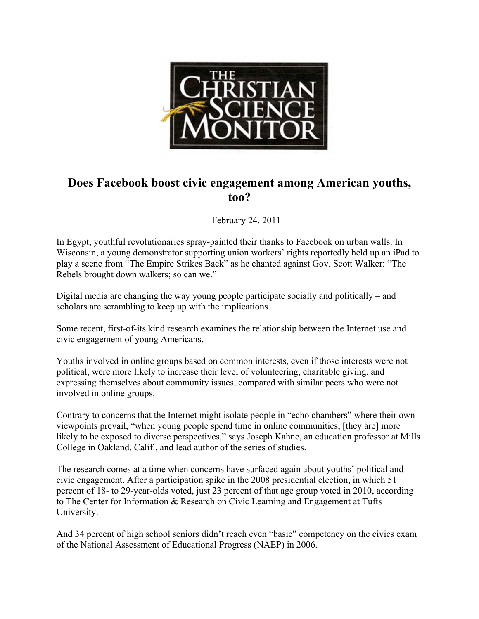

## **Does Facebook boost civic engagement among American youths, too?**

February 24, 2011

In Egypt, youthful revolutionaries spray-painted their thanks to Facebook on urban walls. In Wisconsin, a young demonstrator supporting union workers' rights reportedly held up an iPad to play a scene from "The Empire Strikes Back" as he chanted against Gov. Scott Walker: "The Rebels brought down walkers; so can we."

Digital media are changing the way young people participate socially and politically – and scholars are scrambling to keep up with the implications.

Some recent, first-of-its kind research examines the relationship between the Internet use and civic engagement of young Americans.

Youths involved in online groups based on common interests, even if those interests were not political, were more likely to increase their level of volunteering, charitable giving, and expressing themselves about community issues, compared with similar peers who were not involved in online groups.

Contrary to concerns that the Internet might isolate people in "echo chambers" where their own viewpoints prevail, "when young people spend time in online communities, [they are] more likely to be exposed to diverse perspectives," says Joseph Kahne, an education professor at Mills College in Oakland, Calif., and lead author of the series of studies.

The research comes at a time when concerns have surfaced again about youths' political and civic engagement. After a participation spike in the 2008 presidential election, in which 51 percent of 18- to 29-year-olds voted, just 23 percent of that age group voted in 2010, according to The Center for Information & Research on Civic Learning and Engagement at Tufts University.

And 34 percent of high school seniors didn't reach even "basic" competency on the civics exam of the National Assessment of Educational Progress (NAEP) in 2006.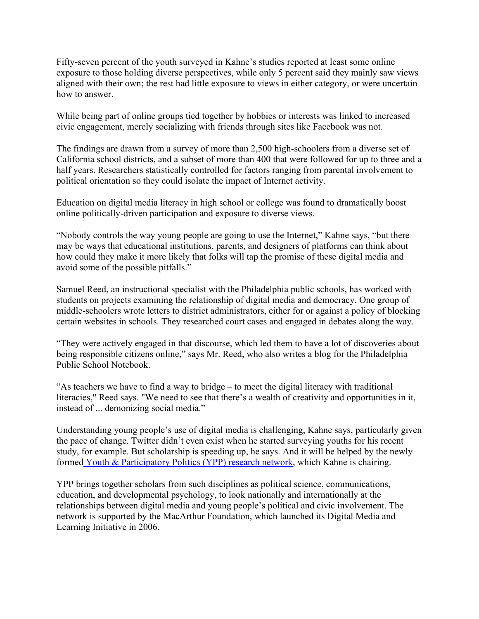Fifty-seven percent of the youth surveyed in Kahne's studies reported at least some online exposure to those holding diverse perspectives, while only 5 percent said they mainly saw views aligned with their own; the rest had little exposure to views in either category, or were uncertain how to answer.

While being part of online groups tied together by hobbies or interests was linked to increased civic engagement, merely socializing with friends through sites like Facebook was not.

The findings are drawn from a survey of more than 2,500 high-schoolers from a diverse set of California school districts, and a subset of more than 400 that were followed for up to three and a half years. Researchers statistically controlled for factors ranging from parental involvement to political orientation so they could isolate the impact of Internet activity.

Education on digital media literacy in high school or college was found to dramatically boost online politically-driven participation and exposure to diverse views.

"Nobody controls the way young people are going to use the Internet," Kahne says, "but there may be ways that educational institutions, parents, and designers of platforms can think about how could they make it more likely that folks will tap the promise of these digital media and avoid some of the possible pitfalls."

Samuel Reed, an instructional specialist with the Philadelphia public schools, has worked with students on projects examining the relationship of digital media and democracy. One group of middle-schoolers wrote letters to district administrators, either for or against a policy of blocking certain websites in schools. They researched court cases and engaged in debates along the way.

"They were actively engaged in that discourse, which led them to have a lot of discoveries about being responsible citizens online," says Mr. Reed, who also writes a blog for the Philadelphia Public School Notebook.

"As teachers we have to find a way to bridge – to meet the digital literacy with traditional literacies," Reed says. "We need to see that there's a wealth of creativity and opportunities in it, instead of ... demonizing social media."

Understanding young people's use of digital media is challenging, Kahne says, particularly given the pace of change. Twitter didn't even exist when he started surveying youths for his recent study, for example. But scholarship is speeding up, he says. And it will be helped by the newly formed Youth & Participatory Politics (YPP) research network, which Kahne is chairing.

YPP brings together scholars from such disciplines as political science, communications, education, and developmental psychology, to look nationally and internationally at the relationships between digital media and young people's political and civic involvement. The network is supported by the MacArthur Foundation, which launched its Digital Media and Learning Initiative in 2006.